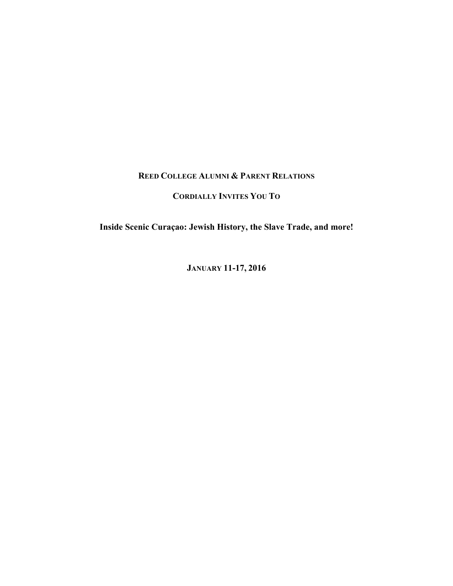## **REED COLLEGE ALUMNI & PARENT RELATIONS**

## **CORDIALLY INVITES YOU TO**

**Inside Scenic Curaçao: Jewish History, the Slave Trade, and more!**

**JANUARY 11-17, 2016**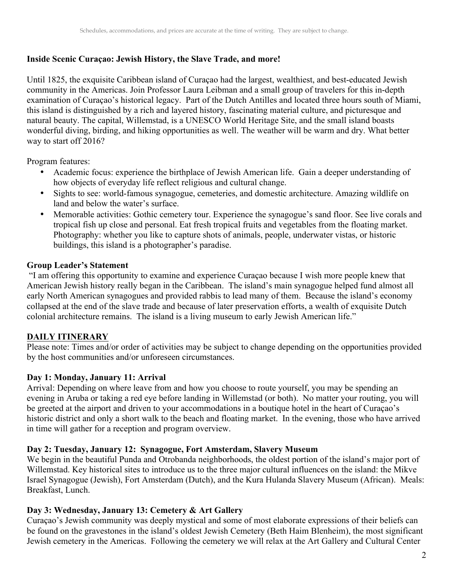# **Inside Scenic Curaçao: Jewish History, the Slave Trade, and more!**

Until 1825, the exquisite Caribbean island of Curaçao had the largest, wealthiest, and best-educated Jewish community in the Americas. Join Professor Laura Leibman and a small group of travelers for this in-depth examination of Curaçao's historical legacy. Part of the Dutch Antilles and located three hours south of Miami, this island is distinguished by a rich and layered history, fascinating material culture, and picturesque and natural beauty. The capital, Willemstad, is a UNESCO World Heritage Site, and the small island boasts wonderful diving, birding, and hiking opportunities as well. The weather will be warm and dry. What better way to start off 2016?

Program features:

- Academic focus: experience the birthplace of Jewish American life. Gain a deeper understanding of how objects of everyday life reflect religious and cultural change.
- Sights to see: world-famous synagogue, cemeteries, and domestic architecture. Amazing wildlife on land and below the water's surface.
- Memorable activities: Gothic cemetery tour. Experience the synagogue's sand floor. See live corals and tropical fish up close and personal. Eat fresh tropical fruits and vegetables from the floating market. Photography: whether you like to capture shots of animals, people, underwater vistas, or historic buildings, this island is a photographer's paradise.

## **Group Leader's Statement**

"I am offering this opportunity to examine and experience Curaçao because I wish more people knew that American Jewish history really began in the Caribbean. The island's main synagogue helped fund almost all early North American synagogues and provided rabbis to lead many of them. Because the island's economy collapsed at the end of the slave trade and because of later preservation efforts, a wealth of exquisite Dutch colonial architecture remains. The island is a living museum to early Jewish American life."

# **DAILY ITINERARY**

Please note: Times and/or order of activities may be subject to change depending on the opportunities provided by the host communities and/or unforeseen circumstances.

# **Day 1: Monday, January 11: Arrival**

Arrival: Depending on where leave from and how you choose to route yourself, you may be spending an evening in Aruba or taking a red eye before landing in Willemstad (or both). No matter your routing, you will be greeted at the airport and driven to your accommodations in a boutique hotel in the heart of Curaçao's historic district and only a short walk to the beach and floating market. In the evening, those who have arrived in time will gather for a reception and program overview.

#### **Day 2: Tuesday, January 12: Synagogue, Fort Amsterdam, Slavery Museum**

We begin in the beautiful Punda and Otrobanda neighborhoods, the oldest portion of the island's major port of Willemstad. Key historical sites to introduce us to the three major cultural influences on the island: the Mikve Israel Synagogue (Jewish), Fort Amsterdam (Dutch), and the Kura Hulanda Slavery Museum (African). Meals: Breakfast, Lunch.

# **Day 3: Wednesday, January 13: Cemetery & Art Gallery**

Curaçao's Jewish community was deeply mystical and some of most elaborate expressions of their beliefs can be found on the gravestones in the island's oldest Jewish Cemetery (Beth Haim Blenheim), the most significant Jewish cemetery in the Americas. Following the cemetery we will relax at the Art Gallery and Cultural Center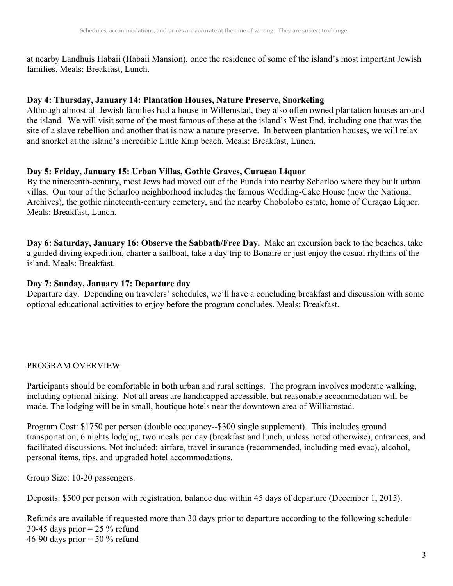at nearby Landhuis Habaii (Habaii Mansion), once the residence of some of the island's most important Jewish families. Meals: Breakfast, Lunch.

#### **Day 4: Thursday, January 14: Plantation Houses, Nature Preserve, Snorkeling**

Although almost all Jewish families had a house in Willemstad, they also often owned plantation houses around the island. We will visit some of the most famous of these at the island's West End, including one that was the site of a slave rebellion and another that is now a nature preserve. In between plantation houses, we will relax and snorkel at the island's incredible Little Knip beach. Meals: Breakfast, Lunch.

#### **Day 5: Friday, January 15: Urban Villas, Gothic Graves, Curaçao Liquor**

By the nineteenth-century, most Jews had moved out of the Punda into nearby Scharloo where they built urban villas. Our tour of the Scharloo neighborhood includes the famous Wedding-Cake House (now the National Archives), the gothic nineteenth-century cemetery, and the nearby Chobolobo estate, home of Curaçao Liquor. Meals: Breakfast, Lunch.

**Day 6: Saturday, January 16: Observe the Sabbath/Free Day.** Make an excursion back to the beaches, take a guided diving expedition, charter a sailboat, take a day trip to Bonaire or just enjoy the casual rhythms of the island. Meals: Breakfast.

#### **Day 7: Sunday, January 17: Departure day**

Departure day. Depending on travelers' schedules, we'll have a concluding breakfast and discussion with some optional educational activities to enjoy before the program concludes. Meals: Breakfast.

#### PROGRAM OVERVIEW

Participants should be comfortable in both urban and rural settings. The program involves moderate walking, including optional hiking. Not all areas are handicapped accessible, but reasonable accommodation will be made. The lodging will be in small, boutique hotels near the downtown area of Williamstad.

Program Cost: \$1750 per person (double occupancy--\$300 single supplement). This includes ground transportation, 6 nights lodging, two meals per day (breakfast and lunch, unless noted otherwise), entrances, and facilitated discussions. Not included: airfare, travel insurance (recommended, including med-evac), alcohol, personal items, tips, and upgraded hotel accommodations.

Group Size: 10-20 passengers.

Deposits: \$500 per person with registration, balance due within 45 days of departure (December 1, 2015).

Refunds are available if requested more than 30 days prior to departure according to the following schedule: 30-45 days prior  $= 25 \%$  refund 46-90 days prior  $=$  50 % refund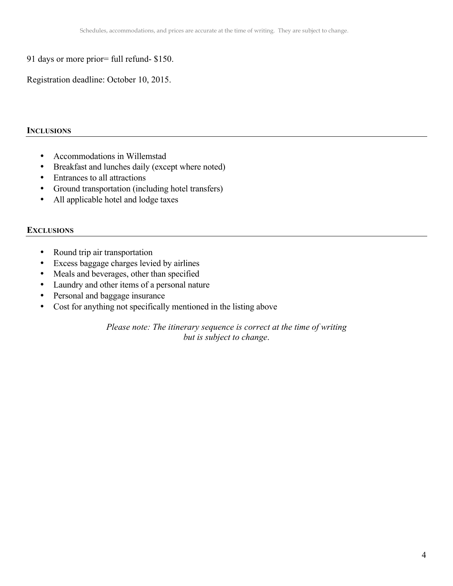91 days or more prior= full refund- \$150.

Registration deadline: October 10, 2015.

#### **INCLUSIONS**

- Accommodations in Willemstad
- Breakfast and lunches daily (except where noted)
- Entrances to all attractions
- Ground transportation (including hotel transfers)
- All applicable hotel and lodge taxes

## **EXCLUSIONS**

- Round trip air transportation
- Excess baggage charges levied by airlines
- Meals and beverages, other than specified
- Laundry and other items of a personal nature
- Personal and baggage insurance
- Cost for anything not specifically mentioned in the listing above

*Please note: The itinerary sequence is correct at the time of writing but is subject to change*.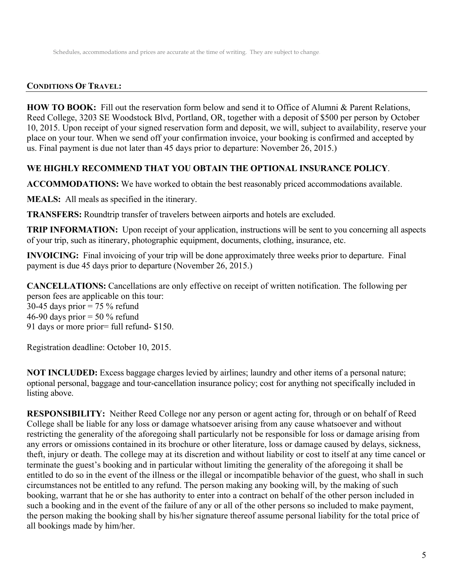#### **CONDITIONS OF TRAVEL:**

**HOW TO BOOK:** Fill out the reservation form below and send it to Office of Alumni & Parent Relations, Reed College, 3203 SE Woodstock Blvd, Portland, OR, together with a deposit of \$500 per person by October 10, 2015. Upon receipt of your signed reservation form and deposit, we will, subject to availability, reserve your place on your tour. When we send off your confirmation invoice, your booking is confirmed and accepted by us. Final payment is due not later than 45 days prior to departure: November 26, 2015.)

#### **WE HIGHLY RECOMMEND THAT YOU OBTAIN THE OPTIONAL INSURANCE POLICY**.

**ACCOMMODATIONS:** We have worked to obtain the best reasonably priced accommodations available.

**MEALS:** All meals as specified in the itinerary.

**TRANSFERS:** Roundtrip transfer of travelers between airports and hotels are excluded.

**TRIP INFORMATION:** Upon receipt of your application, instructions will be sent to you concerning all aspects of your trip, such as itinerary, photographic equipment, documents, clothing, insurance, etc.

**INVOICING:** Final invoicing of your trip will be done approximately three weeks prior to departure. Final payment is due 45 days prior to departure (November 26, 2015.)

**CANCELLATIONS:** Cancellations are only effective on receipt of written notification. The following per person fees are applicable on this tour:

30-45 days prior  $= 75 \%$  refund 46-90 days prior  $=$  50  $\%$  refund 91 days or more prior= full refund- \$150.

Registration deadline: October 10, 2015.

**NOT INCLUDED:** Excess baggage charges levied by airlines; laundry and other items of a personal nature; optional personal, baggage and tour-cancellation insurance policy; cost for anything not specifically included in listing above.

**RESPONSIBILITY:** Neither Reed College nor any person or agent acting for, through or on behalf of Reed College shall be liable for any loss or damage whatsoever arising from any cause whatsoever and without restricting the generality of the aforegoing shall particularly not be responsible for loss or damage arising from any errors or omissions contained in its brochure or other literature, loss or damage caused by delays, sickness, theft, injury or death. The college may at its discretion and without liability or cost to itself at any time cancel or terminate the guest's booking and in particular without limiting the generality of the aforegoing it shall be entitled to do so in the event of the illness or the illegal or incompatible behavior of the guest, who shall in such circumstances not be entitled to any refund. The person making any booking will, by the making of such booking, warrant that he or she has authority to enter into a contract on behalf of the other person included in such a booking and in the event of the failure of any or all of the other persons so included to make payment, the person making the booking shall by his/her signature thereof assume personal liability for the total price of all bookings made by him/her.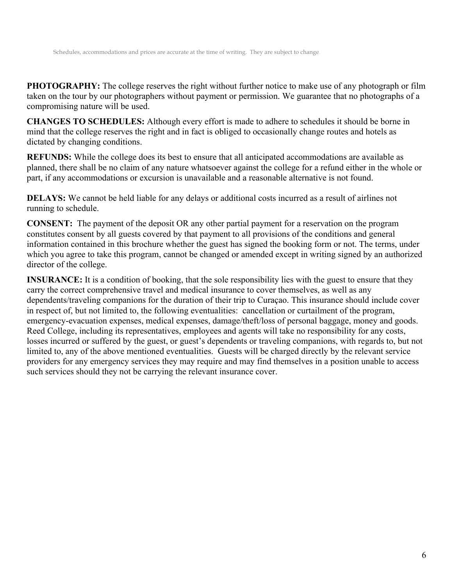**PHOTOGRAPHY:** The college reserves the right without further notice to make use of any photograph or film taken on the tour by our photographers without payment or permission. We guarantee that no photographs of a compromising nature will be used.

**CHANGES TO SCHEDULES:** Although every effort is made to adhere to schedules it should be borne in mind that the college reserves the right and in fact is obliged to occasionally change routes and hotels as dictated by changing conditions.

**REFUNDS:** While the college does its best to ensure that all anticipated accommodations are available as planned, there shall be no claim of any nature whatsoever against the college for a refund either in the whole or part, if any accommodations or excursion is unavailable and a reasonable alternative is not found.

**DELAYS:** We cannot be held liable for any delays or additional costs incurred as a result of airlines not running to schedule.

**CONSENT:** The payment of the deposit OR any other partial payment for a reservation on the program constitutes consent by all guests covered by that payment to all provisions of the conditions and general information contained in this brochure whether the guest has signed the booking form or not. The terms, under which you agree to take this program, cannot be changed or amended except in writing signed by an authorized director of the college.

**INSURANCE:** It is a condition of booking, that the sole responsibility lies with the guest to ensure that they carry the correct comprehensive travel and medical insurance to cover themselves, as well as any dependents/traveling companions for the duration of their trip to Curaçao. This insurance should include cover in respect of, but not limited to, the following eventualities: cancellation or curtailment of the program, emergency-evacuation expenses, medical expenses, damage/theft/loss of personal baggage, money and goods. Reed College, including its representatives, employees and agents will take no responsibility for any costs, losses incurred or suffered by the guest, or guest's dependents or traveling companions, with regards to, but not limited to, any of the above mentioned eventualities. Guests will be charged directly by the relevant service providers for any emergency services they may require and may find themselves in a position unable to access such services should they not be carrying the relevant insurance cover.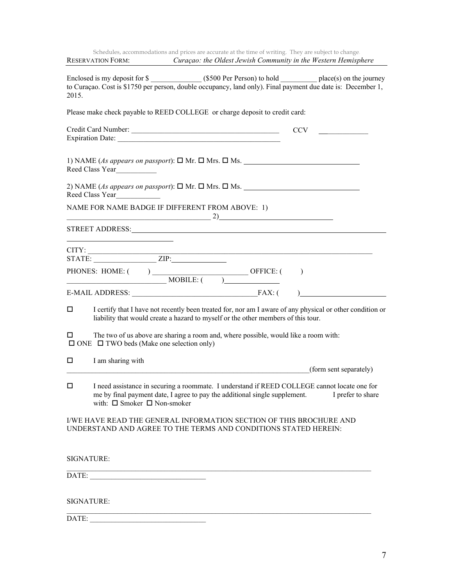| Schedules, accommodations and prices are accurate at the time of writing. They are subject to change.<br>RESERVATION FORM: Curaçao: the Oldest Jewish Community in the Western Hemisphere                                                                                                                                                                                                                                           |
|-------------------------------------------------------------------------------------------------------------------------------------------------------------------------------------------------------------------------------------------------------------------------------------------------------------------------------------------------------------------------------------------------------------------------------------|
| to Curaçao. Cost is \$1750 per person, double occupancy, land only). Final payment due date is: December 1,<br>2015.                                                                                                                                                                                                                                                                                                                |
| Please make check payable to REED COLLEGE or charge deposit to credit card:                                                                                                                                                                                                                                                                                                                                                         |
| CCV                                                                                                                                                                                                                                                                                                                                                                                                                                 |
| 1) NAME (As appears on passport): $\square$ Mr. $\square$ Mrs. $\square$ Ms.<br>Reed Class Year                                                                                                                                                                                                                                                                                                                                     |
| 2) NAME (As appears on passport): $\square$ Mr. $\square$ Mrs. $\square$ Ms.<br>Reed Class Year                                                                                                                                                                                                                                                                                                                                     |
| NAME FOR NAME BADGE IF DIFFERENT FROM ABOVE: 1)                                                                                                                                                                                                                                                                                                                                                                                     |
| $\overbrace{ }^{2)}$ $\overbrace{ }^{2}$ $\overbrace{ }^{2}$ $\overbrace{ }^{2}$ $\overbrace{ }^{2}$ $\overbrace{ }^{2}$ $\overbrace{ }^{2}$ $\overbrace{ }^{2}$ $\overbrace{ }^{2}$ $\overbrace{ }^{2}$ $\overbrace{ }^{2}$ $\overbrace{ }^{2}$ $\overbrace{ }^{2}$ $\overbrace{ }^{2}$ $\overbrace{ }^{2}$ $\overbrace{ }^{2}$ $\overbrace{ }^{2}$ $\overbrace{ }^{2}$ $\overbrace{ }^{2}$ $\overbrace{ }^{2}$<br>STREET ADDRESS: |
|                                                                                                                                                                                                                                                                                                                                                                                                                                     |
| E-MAIL ADDRESS: FAX: (                                                                                                                                                                                                                                                                                                                                                                                                              |
| I certify that I have not recently been treated for, nor am I aware of any physical or other condition or<br>0<br>liability that would create a hazard to myself or the other members of this tour.                                                                                                                                                                                                                                 |
| The two of us above are sharing a room and, where possible, would like a room with:<br>□<br>$\Box$ ONE $\Box$ TWO beds (Make one selection only)                                                                                                                                                                                                                                                                                    |
| I am sharing with<br>□<br>(form sent separately)                                                                                                                                                                                                                                                                                                                                                                                    |
| □<br>I need assistance in securing a roommate. I understand if REED COLLEGE cannot locate one for<br>me by final payment date, I agree to pay the additional single supplement.<br>I prefer to share<br>with: $\Box$ Smoker $\Box$ Non-smoker                                                                                                                                                                                       |
| I/WE HAVE READ THE GENERAL INFORMATION SECTION OF THIS BROCHURE AND<br>UNDERSTAND AND AGREE TO THE TERMS AND CONDITIONS STATED HEREIN:                                                                                                                                                                                                                                                                                              |
| <b>SIGNATURE:</b>                                                                                                                                                                                                                                                                                                                                                                                                                   |
| DATE:                                                                                                                                                                                                                                                                                                                                                                                                                               |
| SIGNATURE:                                                                                                                                                                                                                                                                                                                                                                                                                          |
|                                                                                                                                                                                                                                                                                                                                                                                                                                     |